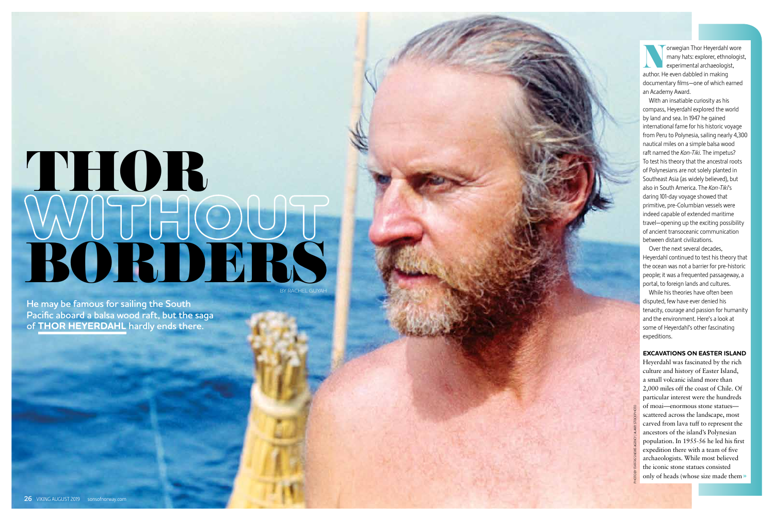**Norwegian Thor Heyerdahl wore**<br>
many hats: explorer, ethnologis<br>
experimental archaeologist,<br>
author. He even dabbled in making many hats: explorer, ethnologist, experimental archaeologist, author. He even dabbled in making documentary films—one of which earned an Academy Award.

With an insatiable curiosity as his compass, Heyerdahl explored the world by land and sea. In 1947 he gained international fame for his historic voyage from Peru to Polynesia, sailing nearly 4,300 nautical miles on a simple balsa wood raft named the *Kon-Tiki.* The impetus? To test his theory that the ancestral roots of Polynesians are not solely planted in Southeast Asia (as widely believed), but also in South America. The *Kon-Tiki*'s daring 101-day voyage showed that primitive, pre-Columbian vessels were indeed capable of extended maritime travel—opening up the exciting possibility of ancient transoceanic communication between distant civilizations.

# WUTHOUT THOR BY RACHEL GUYAH

Over the next several decades, Heyerdahl continued to test his theory that the ocean was not a barrier for pre-historic people; it was a frequented passageway, a portal, to foreign lands and cultures.

While his theories have often been disputed, few have ever denied his tenacity, courage and passion for humanity and the environment. Here's a look at some of Heyerdahl's other fascinating expeditions.

# **EXCAVATIONS ON EASTER ISLAND**

Heyerdahl was fascinated by the rich culture and history of Easter Island, a small volcanic island more than 2,000 miles off the coast of Chile. Of particular interest were the hundreds of moai—enormous stone statues scattered across the landscape, most carved from lava tuff to represent the ancestors of the island's Polynesian population. In 1955-56 he led his first expedition there with a team of five archaeologists. While most believed the iconic stone statues consisted only of heads (whose size made them »

**He may be famous for sailing the South Pacific aboard a balsa wood raft, but the saga of THOR HEYERDAHL hardly ends there.**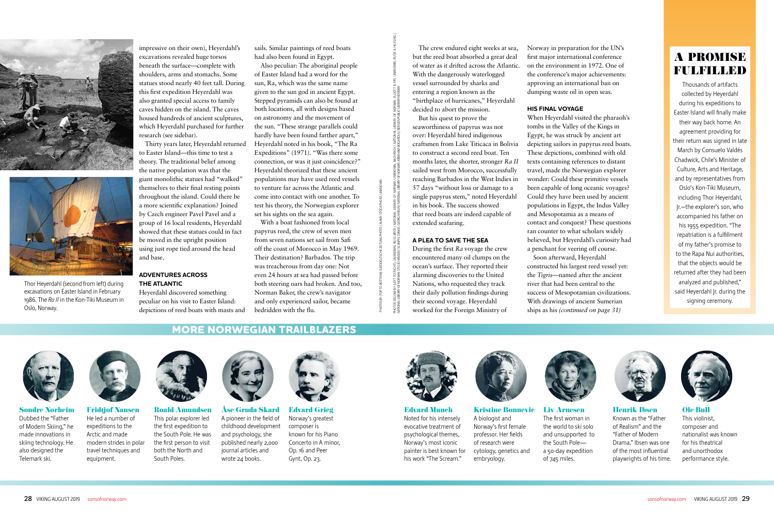impressive on their own), Heyerdahl's excavations revealed huge torsos beneath the surface—complete with shoulders, arms and stomachs. Some statues stood nearly 40 feet tall. During this first expedition Heyerdahl was also granted special access to family caves hidden on the island. The caves housed hundreds of ancient sculptures, which Heyerdahl purchased for further research (see sidebar).

Thirty years later, Heyerdahl returned to Easter Island—this time to test a theory. The traditional belief among the native population was that the giant monolithic statues had "walked" themselves to their final resting points throughout the island. Could there be a more scientific explanation? Joined by Czech engineer Pavel Pavel and a group of 16 local residents, Heyerdahl showed that these statues could in fact be moved in the upright position using just rope tied around the head and base.

# **ADVENTURES ACROSS THE ATLANTIC**

Heyerdahl discovered something peculiar on his visit to Easter Island: depictions of reed boats with masts and

sails. Similar paintings of reed boats had also been found in Egypt.

Also peculiar: The aboriginal people of Easter Island had a word for the sun, Ra, which was the same name given to the sun god in ancient Egypt. Stepped pyramids can also be found at both locations, all with designs based on astronomy and the movement of the sun. "These strange parallels could hardly have been found farther apart," Heyerdahl noted in his book, "The Ra Expeditions" (1971). "Was there some connection, or was it just coincidence?" Heyerdahl theorized that these ancient populations may have used reed vessels to venture far across the Atlantic and come into contact with one another. To test his theory, the Norwegian explorer set his sights on the sea again.

With a boat fashioned from local papyrus reed, the crew of seven men from seven nations set sail from Safi off the coast of Morocco in May 1969. Their destination? Barbados. The trip was treacherous from day one: Not even 24 hours at sea had passed before both steering oars had broken. And too, Norman Baker, the crew's navigator and only experienced sailor, became bedridden with the flu.



Sondre Norheim Dubbed the "Father of Modern Skiing," he made innovations in skiing technology. He also designed the Telemark ski.



equipment.

Fridtjof Nansen He led a number of expeditions to the Arctic and made modern strides in polar travel techniques and Roald Amundsen This polar explorer led the first expedition to the South Pole. He was the first person to visit both the North and South Poles.



Åse Gruda Skard A pioneer in the field of childhood development and psychology, she published nearly 2,000 journal articles and wrote 24 books.



Edvard Grieg Norway's greatest composer is known for his Piano Concerto in A minor, Op. 16 and Peer Gynt, Op. 23.



Thousands of artifacts collected by Heyerdahl during his expeditions to Easter Island will finally make their way back home. An agreement providing for their return was signed in late March by Consuelo Valdés Chadwick, Chile's Minister of Culture, Arts and Heritage, and by representatives from Oslo's Kon-Tiki Museum, including Thor Heyerdahl, Jr.—the explorer's son, who accompanied his father on his 1955 expedition. "The repatriation is a fulfillment of my father's promise to to the Rapa Nui authorities, that the objects would be returned after they had been analyzed and published," said Heyerdahl Jr. during the signing ceremony.

The crew endured eight weeks at sea, but the reed boat absorbed a great deal of water as it drifted across the Atlantic. With the dangerously waterlogged vessel surrounded by sharks and entering a region known as the "birthplace of hurricanes," Heyerdahl decided to abort the mission.

But his quest to prove the seaworthiness of papyrus was not over: Heyerdahl hired indigenous craftsmen from Lake Titicaca in Bolivia to construct a second reed boat. Ten months later, the shorter, stronger *Ra II* sailed west from Morocco, successfully reaching Barbados in the West Indies in 57 days "without loss or damage to a single papyrus stem," noted Heyerdahl in his book. The success showed that reed boats are indeed capable of extended seafaring.

## **A PLEA TO SAVE THE SEA**

During the first *Ra* voyage the crew encountered many oil clumps on the ocean's surface. They reported their alarming discoveries to the United Nations, who requested they track their daily pollution findings during their second voyage. Heyerdahl worked for the Foreign Ministry of



Edvard Munch Noted for his intensely evocative treatment of psychological themes, Norway's most iconic painter is best known for his work "The Scream."







Liv Arnesen The first woman in the world to ski solo and unsupported to the South Pole a 50-day expedition of 745 miles.



Henrik Ibsen Known as the "Father of Realism" and the "Father of Modern Drama," Ibsen was one of the most influential playwrights of his time.



Ole Bull This violinist, composer and nationalist was known for his theatrical and unorthodox performance style.

Norway in preparation for the UN's first major international conference on the environment in 1972. One of the conference's major achievements: approving an international ban on dumping waste oil in open seas.

## **HIS FINAL VOYAGE**

When Heyerdahl visited the pharaoh's tombs in the Valley of the Kings in Egypt, he was struck by ancient art depicting sailors in papyrus reed boats. These depictions, combined with old texts containing references to distant travel, made the Norwegian explorer wonder: Could these primitive vessels been capable of long oceanic voyages? Could they have been used by ancient populations in Egypt, the Indus Valley and Mesopotamia as a means of contact and conquest? These questions ran counter to what scholars widely believed, but Heyerdahl's curiosity had a penchant for veering off course.

Soon afterward, Heyerdahl constructed his largest reed vessel yet: the *Tigris*—named after the ancient river that had been central to the success of Mesopotamian civilizations. With drawings of ancient Sumerian ships as his *(continued on page 31)* 





Thor Heyerdahl (second from left) during excavations on Easter Island in February 1986. The *Ra II* in the Kon-Tiki Museum in Oslo, Norway.

**MORE NORWEGIAN TRAILBLAZERS**

PHOTOS BY (TOP TO BOTTOM): SUEDDEUTSCHE ZEITUNG PHOTO / ALAMY STOCK PHOTO, UNKNOWN

PHOTOS BELOW BY (LEFT TO RIGHT): UNKNOWN, BLISS BROS / NATIONAL LIBRARY OF NORWAY, UNKNOWN, BACHRACH / NATIONAL LIBRARY OF NORWAY, ELLIOTT & FRY, UNKNOWN, RUDE & HILFLING /

NOWN, BACHRACH<br>VORWAY, ABRAHAM F

OF NORWAY, ELLIOTT 8<br>PUBLIC LIBRARY NORWAY

LIBRARY<br>BERGEN P NATIONAL<br>GARDUS / I

NATIONAL LIBRARY OF NORWAY, STIG B.HANSEN / SCANPIX, DANIEL GEORG NYBLIN / NATIONAL LIBRARY OF NORWAY, ABRAHAM BOGARDUS / BERGEN PUBLIC LIBRARY NORWAY

national library of Norway,<br>Georg Nyblin / National library

BROS /<br>DANIEL **SSIRM** 

ELOW BY (LEFT TO RIGHT): UNKNOWN,<br>IBRARY OF NORWAY, STIG B.HANSEN / SC

PHOTOS B<br>MATIONALI